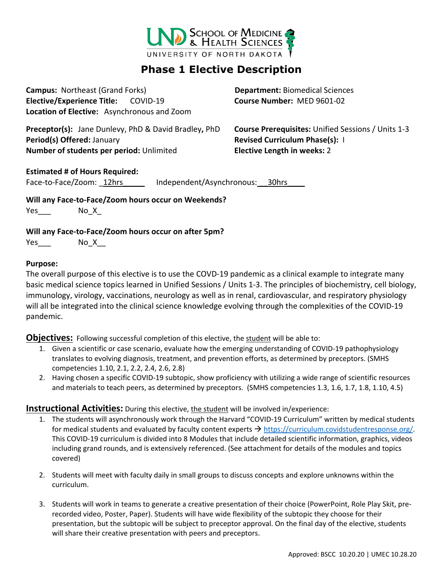

# **Phase 1 Elective Description**

**Campus:** Northeast (Grand Forks) **Department:** Biomedical Sciences **Elective/Experience Title:** COVID-19 **Course Number:** MED 9601-02 **Location of Elective:** Asynchronous and Zoom

**Preceptor(s):** Jane Dunlevy, PhD & David Bradley**,** PhD **Course Prerequisites:** Unified Sessions / Units 1-3 **Period(s) Offered:** January **Revised Curriculum Phase(s):** I **Number of students per period:** Unlimited **Elective Length in weeks:** 2

#### **Estimated # of Hours Required:**

Face-to-Face/Zoom: 12hrs lndependent/Asynchronous: 30hrs

**Will any Face-to-Face/Zoom hours occur on Weekends?** Yes\_\_\_\_ No\_X\_

#### **Will any Face-to-Face/Zoom hours occur on after 5pm?**

 $Yes$  No\_X\_\_\_

#### **Purpose:**

The overall purpose of this elective is to use the COVD-19 pandemic as a clinical example to integrate many basic medical science topics learned in Unified Sessions / Units 1-3. The principles of biochemistry, cell biology, immunology, virology, vaccinations, neurology as well as in renal, cardiovascular, and respiratory physiology will all be integrated into the clinical science knowledge evolving through the complexities of the COVID-19 pandemic.

**Objectives:** Following successful completion of this elective, the student will be able to:

- 1. Given a scientific or case scenario, evaluate how the emerging understanding of COVID-19 pathophysiology translates to evolving diagnosis, treatment, and prevention efforts, as determined by preceptors. (SMHS competencies 1.10, 2.1, 2.2, 2.4, 2.6, 2.8)
- 2. Having chosen a specific COVID-19 subtopic, show proficiency with utilizing a wide range of scientific resources and materials to teach peers, as determined by preceptors. (SMHS competencies 1.3, 1.6, 1.7, 1.8, 1.10, 4.5)

### **Instructional Activities:** During this elective, the student will be involved in/experience:

- 1. The students will asynchronously work through the Harvard "COVID-19 Curriculum" written by medical students for medical students and evaluated by faculty content experts  $\rightarrow$  [https://curriculum.covidstudentresponse.org/.](https://curriculum.covidstudentresponse.org/) This COVID-19 curriculum is divided into 8 Modules that include detailed scientific information, graphics, videos including grand rounds, and is extensively referenced. (See attachment for details of the modules and topics covered)
- 2. Students will meet with faculty daily in small groups to discuss concepts and explore unknowns within the curriculum.
- 3. Students will work in teams to generate a creative presentation of their choice (PowerPoint, Role Play Skit, prerecorded video, Poster, Paper). Students will have wide flexibility of the subtopic they choose for their presentation, but the subtopic will be subject to preceptor approval. On the final day of the elective, students will share their creative presentation with peers and preceptors.